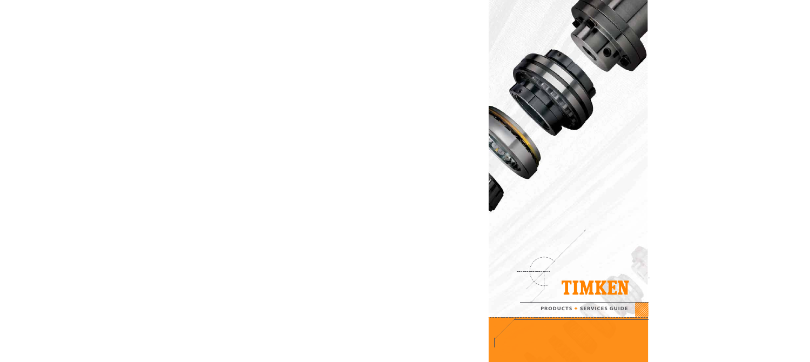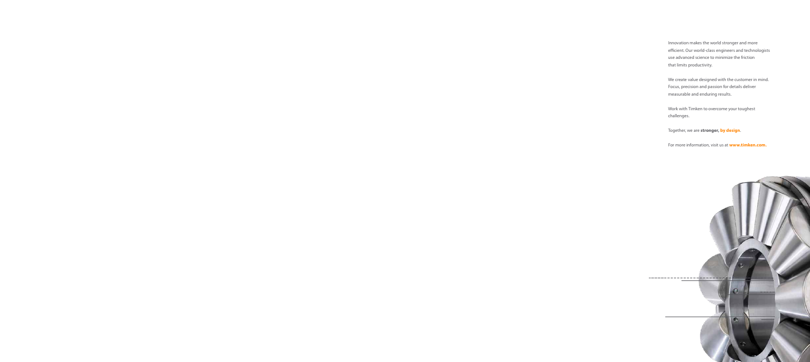Innovation makes the world stronger and more efficient. Our world-class engineers and technologists use advanced science to minimize the friction that limits productivity.

We create value designed with the customer in mind. Focus, precision and passion for details deliver measurable and enduring results.

Work with Timken to overcome your toughest challenges.

Together, we are **stronger, by design**.

For more information, visit us at **www.timken.com.**

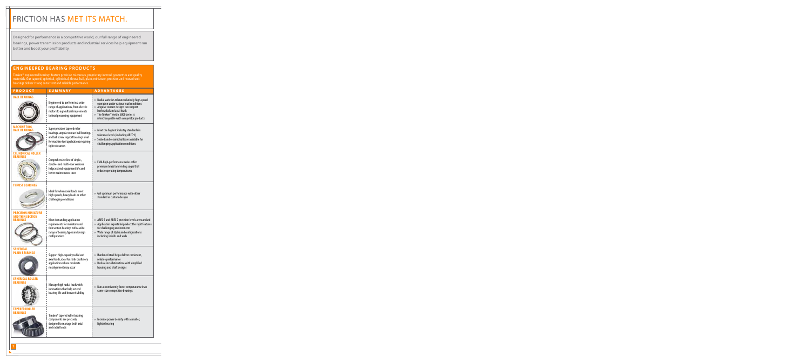# FRICTION HAS MET ITS MATCH.

Designed for performance in a competitive world, our full range of engineered bearings, power transmission products and industrial services help equipment run better and boost your profitability.

#### **ENGINEERED BEARING PRODUCTS**

Timken® engineered bearings feature precision tolerances, proprietary internal geometries and quality materials. Our tapered, spherical, cylindrical, thrust, ball, plain, miniature, precision and housed unit bearings deliver strong consistent and reliable performance.

| <b>PRODUCT</b>                                                           | <b>SUMMARY</b>                                                                                                                                                                    | <b>ADVANTAGES</b>                                                                                                                                                                                                                                       |
|--------------------------------------------------------------------------|-----------------------------------------------------------------------------------------------------------------------------------------------------------------------------------|---------------------------------------------------------------------------------------------------------------------------------------------------------------------------------------------------------------------------------------------------------|
| <b>BALL BEARINGS</b>                                                     | Engineered to perform in a wide<br>range of applications, from electric<br>motors to agricultural implements<br>to food processing equipment                                      | » Radial varieties tolerate relatively high-speed<br>operation under various load conditions<br>» Angular contact designs can support<br>both radial and axial loads<br>» The Timken® metric 6000 series is<br>interchangeable with competitor products |
| MACHINE TOOL<br>BALL BEARINGS                                            | Super precision tapered roller<br>bearings, angular contact ball bearings<br>and ball screw support bearings ideal<br>for machine tool applications requiring<br>tight tolerances | » Meet the highest industry standards in<br>tolerance levels (including ABEC 9)<br>» Sealed and ceramic balls are available for<br>challenging application conditions                                                                                   |
| <b>CYLINDRICAL ROLLER</b><br><b>BEARINGS</b>                             | Comprehensive line of single-,<br>double- and multi-row versions<br>helps extend equipment life and<br>lower maintenance costs                                                    | » EMA high-performance series offers<br>premium brass land-riding cages that<br>reduce operating temperatures                                                                                                                                           |
| <b>THRUST BEARINGS</b>                                                   | Ideal for when axial loads meet<br>high speeds, heavy loads or other<br>challenging conditions                                                                                    | » Get optimum performance with either<br>standard or custom designs                                                                                                                                                                                     |
| <b>PRECISION MINIATURE</b><br><b>AND THIN SECTION</b><br><b>BEARINGS</b> | Meet demanding application<br>requirements for miniature and<br>thin section bearings with a wide<br>range of bearing types and design<br>configurations                          | » ABEC 5 and ABEC 7 precision levels are standard<br>» Application experts help select the right features<br>for challenging environments<br>» Wide range of styles and configurations<br>including shields and seals                                   |
| <b>SPHERICAL</b><br><b>PLAIN BEARINGS</b>                                | Support high-capacity radial and<br>axial loads, ideal for static oscillatory<br>applications where moderate<br>misalignment may occur                                            | » Hardened steel helps deliver consistent,<br>reliable performance<br>» Reduce installation time with simplified<br>housing and shaft designs                                                                                                           |
| <b>SPHERICAL ROLLER</b><br><b>BEARINGS</b>                               | Manage high radial loads with<br>innovations that help extend<br>bearing life and boost reliability                                                                               | » Run at consistently lower temperatures than<br>same-size competitive bearings                                                                                                                                                                         |
| <b>TAPERED ROLLER</b><br><b>BEARINGS</b>                                 | Timken <sup>®</sup> tapered roller bearing<br>components are precisely<br>designed to manage both axial<br>and radial loads                                                       | » Increase power density with a smaller,<br>lighter bearing                                                                                                                                                                                             |
|                                                                          |                                                                                                                                                                                   |                                                                                                                                                                                                                                                         |

**1**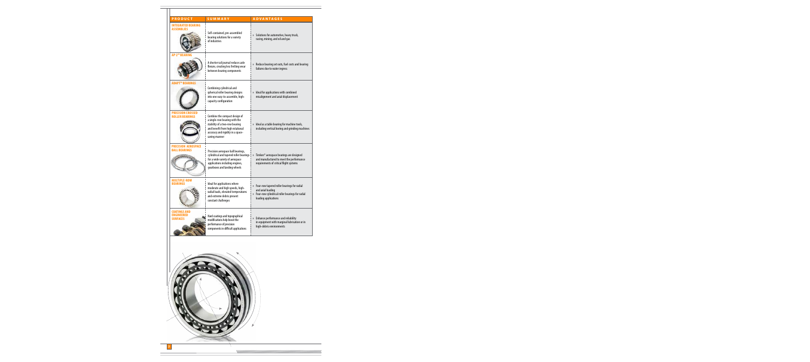| <b>PRODUCT</b>                                       | SUMMARY                                                                                                                                                                                    | <b>ADVANTAGES</b>                                                                                                                               |
|------------------------------------------------------|--------------------------------------------------------------------------------------------------------------------------------------------------------------------------------------------|-------------------------------------------------------------------------------------------------------------------------------------------------|
| <b>INTEGRATED BEARING</b>                            |                                                                                                                                                                                            |                                                                                                                                                 |
| <b>ASSEMBLIES</b>                                    | Self-contained, pre-assembled<br>bearing solutions for a variety<br>of industries                                                                                                          | » Solutions for automotive, heavy truck,<br>racing, mining, and oil and gas                                                                     |
| <b>AP-2<sup>™</sup> BEARING</b>                      | A shorter rail journal reduces axle<br>flexure, creating less fretting wear<br>between bearing components                                                                                  | » Reduce bearing set outs, fuel costs and bearing<br>failures due to water ingress                                                              |
| <b>ADAPT™ BEARINGS</b>                               | Combining cylindrical and<br>spherical roller bearing designs<br>into one easy-to-assemble, high-<br>capacity configuration                                                                | » Ideal for applications with combined<br>misalignment and axial displacement                                                                   |
| <b>PRECISION CROSSED</b><br><b>ROLLER BEARINGS</b>   | Combine the compact design of<br>a single-row bearing with the<br>stability of a two-row bearing<br>and benefit from high rotational<br>accuracy and rigidity in a space-<br>saving manner | » Ideal as a table bearing for machine tools,<br>including vertical boring and grinding machines                                                |
| <b>PRECISION AEROSPACE</b><br><b>BALL BEARINGS</b>   | Precision aerospace ball bearings,<br>cylindrical and tapered roller bearings<br>for a wide variety of aerospace<br>applications including engines,<br>gearboxes and landing wheels        | » Timken® aerospace bearings are designed<br>and manufactured to meet the performance<br>requirements of critical flight systems                |
| <b>MULTIPLE-ROW</b><br><b>BEARINGS</b>               | Ideal for applications where<br>moderate and high speeds, high-<br>radial loads, elevated temperatures<br>and extreme debris present<br>constant challenges                                | » Four-row tapered roller bearings for radial<br>and axial loading<br>» Four-row cylindrical roller bearings for radial<br>loading applications |
| COATINGS AND<br><b>ENGINEERED</b><br><b>SURFACES</b> | Hard coatings and topographical<br>modifications help boost the<br>performance of precision<br>components in difficult applications                                                        | » Enhance performance and reliability<br>in equipment with marginal lubrication or in<br>high-debris environments                               |
|                                                      |                                                                                                                                                                                            |                                                                                                                                                 |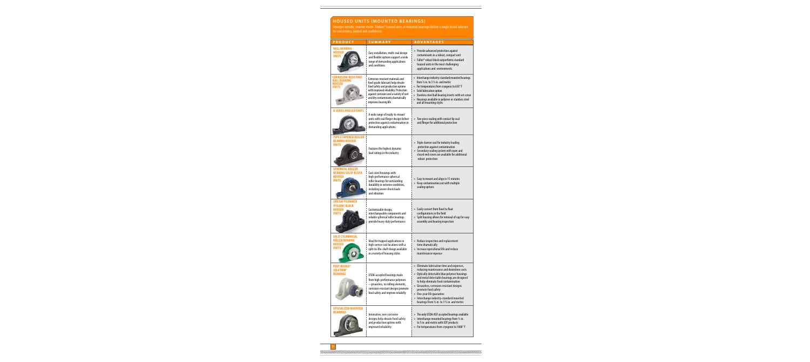## **HOUSED UNITS (MOUNTED BEARINGS)**

Stronger outside, smarter inside. Timken® housed units or mounted bearings deliver a single brand solution for consistency, control and confidence.

| <b>PRODUCT</b>                                                            | <b>SUMMARY</b>                                                                                                                                                                                                                                               | <b>ADVANTAGES</b>                                                                                                                                                                                                                                                                                                                                                                                                            |
|---------------------------------------------------------------------------|--------------------------------------------------------------------------------------------------------------------------------------------------------------------------------------------------------------------------------------------------------------|------------------------------------------------------------------------------------------------------------------------------------------------------------------------------------------------------------------------------------------------------------------------------------------------------------------------------------------------------------------------------------------------------------------------------|
| <b>BALL BEARING</b><br>HOUSED<br><b>UNITS</b>                             | Easy installation, multi-seal design<br>and flexible options support a wide<br>range of demanding applications<br>and conditions                                                                                                                             | » Provide advanced protection against<br>contaminants in a robust, compact unit<br>» Fafnir® robust block outperforms standard<br>housed units in the most challenging<br>applications and environments                                                                                                                                                                                                                      |
| <b>CORROSION-RESISTANT</b><br>BALL BEARING<br>HOUSED<br>UNITS             | Corrosion-resistant materials and<br>food-grade lubricant help elevate<br>food safety and production uptime<br>with improved reliability. Protection<br>against corrosion and a variety of wet<br>and dry contaminants dramatically<br>improves bearing life | » Interchange industry-standard mounted bearings<br>from $\frac{1}{2}$ in. to 3 $\frac{1}{2}$ in. and metric<br>» For temperatures from cryogenic to 650°F<br>» Solid lubrication option<br>» Stainless steel ball bearing inserts with set screw<br>» Housings available in polymer or stainless steel<br>and all mounting styles                                                                                           |
| U SERIES HOUSED UNITS                                                     | A wide range of ready-to-mount<br>units with seal flinger design deliver<br>protection against contamination in<br>demanding applications.                                                                                                                   | » Two piece sealing with contact lip seal<br>and flinger for additional protection                                                                                                                                                                                                                                                                                                                                           |
| <b>E TAPERED ROLLER</b><br><b>BEARING HOUSED</b><br><b>UNITS</b>          | Features the highest dynamic<br>load ratings in the industry                                                                                                                                                                                                 | » Triple-barrier seal for industry leading<br>protection against contamination<br>» Secondary sealing system with open and<br>closed end covers are available for additional<br>robust protection                                                                                                                                                                                                                            |
| <b>SPHERICAL ROLLER</b><br><b>BEARING SOLID-BLOCK</b><br>HOUSED<br>UNITS  | Cast-steel housings with<br>high-performance spherical<br>roller bearings for outstanding<br>durability in extreme conditions,<br>including severe shock loads<br>and vibration                                                                              | » Easy to mount and align in 15 minutes<br>» Keep contamination out with multiple<br>sealing options                                                                                                                                                                                                                                                                                                                         |
| <b>SNT/SAF PLUMMER</b><br>(PILLOW) BLOCK<br><b>HOUSED</b><br><b>UNITS</b> | Customizable design,<br>interchangeable components and<br>reliable spherical roller bearings<br>provide heavy-duty performance                                                                                                                               | » Easily convert from fixed to float<br>configurations in the field<br>» Split housing allows for removal of cap for easy<br>assembly and bearing inspection                                                                                                                                                                                                                                                                 |
| SPLIT CYLINDRICAL<br>ROLLER BEARING<br>HOUSED<br>UNITS                    | Ideal for trapped applications in<br>high-service cost locations with a<br>split-to-the-shaft design available<br>in a variety of housing styles                                                                                                             | » Reduce inspection and replacement<br>time dramatically<br>» Increase operational life and reduce<br>maintenance expense                                                                                                                                                                                                                                                                                                    |
| <b>POLY-ROUND®</b><br><b>SOLUTION®</b><br><b>BEARINGS</b>                 | USDA-accepted bearings made<br>from high-performance polymers<br>- greaseless, no rolling elements,<br>corrosion-resistant designs promote<br>food safety and improve reliabilty                                                                             | » Eliminate lubrication time and expenses,<br>reducing maintenance and downtime costs<br>» Optically detectable blue polymer housings<br>and metal detectable bearings are designed<br>to help eliminate food contamination<br>» Greaseless, corrosion-resistant designs<br>promote food safety<br>» One-year life quarantee<br>» Interchange industry-standard mounted<br>bearings from $1/2$ in. to 3 $1/2$ in. and metric |
| <b>SPECIALIZED MOUNTED</b><br>BEARINGS                                    | Innovative, non-corrosive<br>designs help elevate food safety<br>and production uptime with<br>improved reliability                                                                                                                                          | » The only USDA-NSF accepted bearings available<br>» Interchange mounted bearings from $1/2$ in.<br>to 5 in. and metric with EDT products<br>» For temperatures from cryogenic to 1000°F                                                                                                                                                                                                                                     |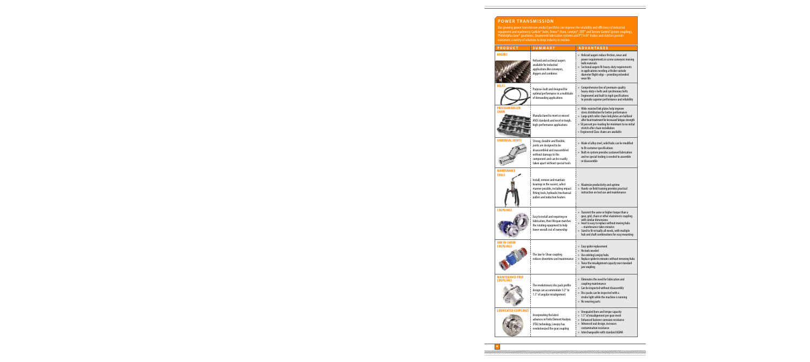### **POWER TRANSMISSION**

Our growing power transmission product portfolio can improve the reliability and efficiency of industrial equipment and machinery. Carlisle® belts, Drives® chain, Lovejoy®, EDT® and Torsion Control System couplings, Philidelphia Gear® gearboxes, Groeneveld lubrication systems and PT Tech® brakes and clutches provide customers a variety of solutions to keep industry in motion.

| <b>PRODUCT</b>                       | <b>SUMMARY</b>                                                                                                                                                                           | <b>ADVANTAGES</b>                                                                                                                                                                                                                                                                                                                        |
|--------------------------------------|------------------------------------------------------------------------------------------------------------------------------------------------------------------------------------------|------------------------------------------------------------------------------------------------------------------------------------------------------------------------------------------------------------------------------------------------------------------------------------------------------------------------------------------|
| <b>AUGERS</b>                        | Helicoid and sectional augers<br>available for industrial<br>applications like conveyors,<br>diggers and combines                                                                        | » Helicoid augers reduce friction, wear and<br>power requirements in screw conveyors moving<br>bulk materials<br>» Sectional augers fit heavy-duty requirements<br>in applications needing a thicker outside<br>diameter flight edge - providing extended<br>wear life                                                                   |
| BELTS                                | Purpose-built and designed for<br>optimal performance in a multitude<br>of demanding applications                                                                                        | » Comprehensive line of premium-quality<br>heavy-duty v-belts and synchronous belts<br>» Engineered and built to rigid specifications<br>to provide superior performance and reliability                                                                                                                                                 |
| PRECISION ROLLER<br><b>CHAIN</b>     | Manufactured to meet or exceed<br>ANSI standards and excel in tough,<br>high-performance applications                                                                                    | » Wide-waisted link plates help improve<br>stress distribution for better performance<br>» Large pitch roller chain link plates are ballized<br>after heat treatment for increased fatigue strength<br>» 50 percent pre-loading for minimum to no initial<br>stretch after chain installation<br>» Engineered Class chains are available |
| <b>UNIVERSAL JOINTS</b>              | Strong, durable and flexible,<br>joints are designed to be<br>disassembled and reassembled<br>without damage to the<br>component and can be readily<br>taken apart without special tools | » Made of alloy steel, solid hubs can be modified<br>to fit customer specifications<br>» Built-in system provides sustained lubrication<br>and no special tooling is needed to assemble<br>or disassemble                                                                                                                                |
| <b>MAINTENANCE</b><br><b>TOOLS</b>   | Install, remove and maintain<br>bearings in the easiest, safest<br>manner possible, including impact<br>fitting tools, hydraulic/mechanical<br>pullers and induction heaters             | » Maximize productivity and uptime<br>» Hands-on field training provides practical<br>instruction on tool use and maintenance                                                                                                                                                                                                            |
| <b>COUPLINGS</b>                     | Easy to install and requiring no<br>lubrication, their lifespan matches<br>the rotating equipment to help<br>lower overall cost of ownership                                             | » Transmit the same or higher torque than a<br>gear, grid, chain or other elastomeric coupling<br>with similar dimensions<br>» Insert is easy to replace without moving hubs<br>- maintenance takes minutes<br>» Sized to fit virtually all needs, with multiple<br>hub and shaft combinations for easy mounting                         |
| <b>JAW IN-SHEAR</b><br>COUPLINGS     | The Jaw In-Shear coupling<br>reduces downtime and maintenance                                                                                                                            | » Easy spider replacement<br>No tools needed<br>$\lambda$<br>Use existing Lovejoy hubs<br>$\mathcal{V}$<br>Replace spider in minutes without removing hubs<br>y)<br>» Twice the misalignment capacity over standard<br>jaw coupling                                                                                                      |
| <b>MAINTENANCE-FREE</b><br>COUPLINGS | The revolutionary disc pack profile<br>design can accommodate 1/2° to<br>1.5° of angular misalignment                                                                                    | » Fliminates the need for lubrication and<br>coupling maintenance<br>» Can be inspected without disassembly<br>Disc packs can be inspected with a<br>$\lambda$<br>strobe light while the machine is running<br>» No wearing parts                                                                                                        |
| <b>LUBRICATED COUPLINGS</b>          | Incorporating the latest<br>advances in Finite Element Analysis<br>(FEA) technology, Lovejoy has<br>revolutionized the gear coupling                                                     | » Unequaled bore and torque capacity<br>» 1.5° of misalignment per gear mesh<br>Enhanced fastener corrosion resistance<br>» Advanced seal design, increases<br>contamination resistance<br>» Interchangeable with standard AGMA                                                                                                          |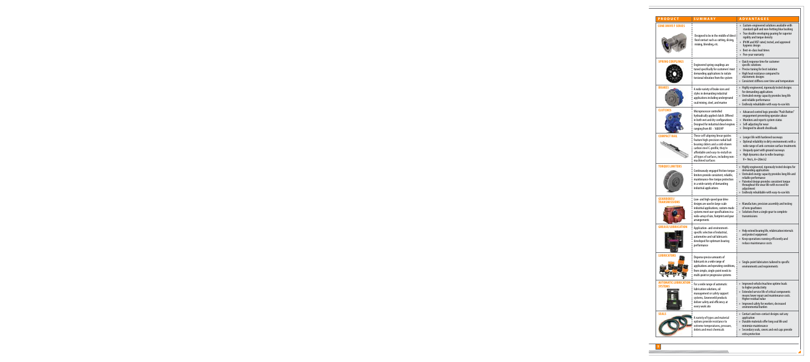| <b>PRODUCT</b>                             | <b>SUMMARY</b>                                                                                                                                                                                                                                    | <b>ADVANTAGES</b>                                                                                                                                                                                                                                                                                                                        |
|--------------------------------------------|---------------------------------------------------------------------------------------------------------------------------------------------------------------------------------------------------------------------------------------------------|------------------------------------------------------------------------------------------------------------------------------------------------------------------------------------------------------------------------------------------------------------------------------------------------------------------------------------------|
| <b>CONE DRIVE F SERIES</b>                 | Designed to be in the middle of direct<br>food contact such as cutting, slicing,<br>mixing, blending, etc.                                                                                                                                        | » Custom-engineered solutions available with<br>standard quill and non-fretting blue bushing<br>» True double enveloping gearing for superior<br>rigidity and torque density<br>» IP69K and NSF rated, tested, and approved<br>hygienic design<br>» Best-in-class lead times<br>Five-year warranty<br>))                                 |
| <b>SPRING COUPLINGS</b>                    | Engineered spring couplings are<br>tuned specifically for customers' most<br>demanding applications to isolate<br>torsional vibration from the system                                                                                             | » Quick response time for customer<br>specific solutions<br>» Precise tuning for best isolation<br>» High heat resistance compared to<br>elastomeric designs<br>» Consistent stiffness over time and temperature                                                                                                                         |
| <b>BRAKES</b>                              | A wide variety of brake sizes and<br>styles in demanding industrial<br>applications including underground<br>coal mining, steel, and marine                                                                                                       | Highly engineered, rigorously tested designs<br>$\mathcal{V}$<br>for demanding applications<br>» Unrivaled energy capacity provides long life<br>and reliable performance<br>Endlessly rebuildable with easy-to-use kits<br>$\mathcal{V}$                                                                                                |
| <b>CLUTCHES</b>                            | Microprocessor controlled<br>hydraulically applied clutch. Offered<br>in both wet and dry configurations.<br>Designed for industrial diesel engines<br>ranging from 80 - 1600 HP                                                                  | » Advanced control logic provides "Push Button"<br>engagement preventing operator abuse<br>» Monitors and reports system status<br>Self-adjusting for wear<br>))<br>Designed to absorb shockloads<br>y)                                                                                                                                  |
| <b>COMPACT RAIL</b>                        | These self-aligning linear guides<br>feature high-precision radial ball<br>bearing sliders and a cold-drawn<br>carbon steel C-profile; they're<br>affordable and easy-to-install on<br>all types of surfaces, including non-<br>machined surfaces | Longer life with hardened raceways<br>y)<br>Optimal reliability in dirty environments with a<br>y)<br>wide range of anti-corrosion surface treatments<br>» Uniquely quiet with ground raceways<br>» High dynamics due to roller bearings:<br>$V = 9m/s, A = 20m/s2$                                                                      |
| <b>TORQUE LIMITERS</b>                     | Continuously engaged friction torque<br>limiters provide consistent, reliable,<br>maintenance-free torque protection<br>in a wide variety of demanding<br>industrial applications                                                                 | Highly engineered, rigorously tested designs for<br>$\rangle\rangle$<br>demanding applications<br>» Unrivaled energy capacity provides long life and<br>reliable performance<br>» Patented design provides consistent torque<br>throughout the wear life with no need for<br>adjustment<br>» Endlessly rebuildable with easy-to-use kits |
| <b>GEARBOXES/</b><br><b>TRANSMISSIONS</b>  | Low- and high-speed gear drive<br>designs are used in large-scale<br>industrial applications; custom-made<br>systems meet user specifications in a<br>wide-array of size, footprint and gear<br>arrangements                                      | » Manufacture, precision assembly and testing<br>of new gearboxes<br>» Solutions from a single gear to complete<br>transmissions                                                                                                                                                                                                         |
| <b>GREASE/LUBRICATION</b>                  | Application- and environment-<br>specific selection of industrial,<br>automotive and rail lubricants<br>developed for optimum bearing<br>performance                                                                                              | » Help extend bearing life, relubrication intervals<br>and protect equipment<br>» Keep operations running efficiently and<br>reduce maintenance costs                                                                                                                                                                                    |
| <b>LUBRICATORS</b>                         | Dispense precise amounts of<br>lubricants in a wide range of<br>applications and operating conditions,<br>from simple, single-point needs to<br>multi-point or progressive systems                                                                | » Single-point lubricators tailored to specific<br>environments and requirements                                                                                                                                                                                                                                                         |
| <b>MATIC LUBRICATION</b><br><b>SYSTEMS</b> | For a wide range of automatic<br>lubrication solutions, oil<br>management or safety support<br>systems, Groeneveld products<br>deliver safety and efficiency at<br>every work site                                                                | » Improved vehicle/machine uptime leads<br>to higher productivity<br>» Extended service life of critical components<br>means lower repair and maintenance costs.<br>Higher residual value<br>» Improved safety for workers; decreased<br>environmental burden                                                                            |
| <b>SEALS</b>                               | A variety of types and material<br>options provide resistance to<br>extreme temperatures, pressure,<br>debris and most chemicals                                                                                                                  | » Contact and non-contact designs suit any<br>application<br>» Durable materials offer long seal life and<br>minimize maintenance<br>» Secondary seals, covers and end caps provide<br>extra protection                                                                                                                                  |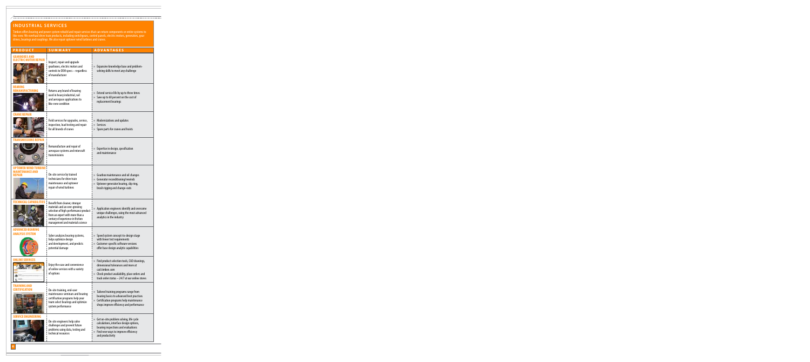## **INDUSTRIAL SERVICES**

**6**

Timken offers bearing and power system rebuild and repair services that can return components or entire systems to like-new. We overhaul drive train products, including switchgears, control panels, electric motors, generators, gear drives, bearings and couplings. We also repair uptower wind turbines and cranes.

| <b>PRODUCT</b>                                               | SUMMARY                                                                                                                                                                                                              | <b>ADVANTAGES</b>                                                                                                                                                                                         |
|--------------------------------------------------------------|----------------------------------------------------------------------------------------------------------------------------------------------------------------------------------------------------------------------|-----------------------------------------------------------------------------------------------------------------------------------------------------------------------------------------------------------|
| <b>GEARBOXES AND</b><br>ELECTRIC MOTOR REPAIR                | Inspect, repair and upgrade<br>gearboxes, electric motors and<br>controls to OEM specs - regardless<br>of manufacturer                                                                                               | » Expansive knowledge base and problem-<br>solving skills to meet any challenge                                                                                                                           |
| RING<br>REMANUFACTURING                                      | Returns any brand of bearing<br>used in heavy industrial, rail<br>and aerospace applications to<br>like-new condition                                                                                                | » Extend service life by up to three times<br>» Save up to 60 percent on the cost of<br>replacement bearings                                                                                              |
| CRANE REPAIR                                                 | Field services for upgrades, service,<br>inspection, load testing and repair<br>for all brands of cranes                                                                                                             | » Modernizations and updates<br>» Services<br>» Spare parts for cranes and hoists                                                                                                                         |
| <b>SMISSIONS REPAI</b>                                       | Remanufacture and repair of<br>aerospace systems and rotorcraft<br>transmissions                                                                                                                                     | » Expertise in design, specification<br>and maintenance                                                                                                                                                   |
| <b>OWER WIND TURBINE</b><br><b>MAINTENANCE AND</b><br>REPAIR | On-site service by trained<br>technicians for drive train<br>maintenance and uptower<br>repair of wind turbines                                                                                                      | » Gearbox maintenance and oil changes<br>» Generator reconditioning/rewinds<br>» Uptower generator bearing, slip ring,<br>brush rigging and change-outs                                                   |
|                                                              | Benefit from cleaner, stronger<br>materials and an ever-growing<br>selection of high-performance product<br>from an expert with more than a<br>century of experience in friction<br>management and materials science | » Application engineers identify and overcome<br>unique challenges, using the most advanced<br>analytics in the industry                                                                                  |
| ADVANCED BEARING<br><b>ANALYSIS SYSTEM</b>                   | Syber analyzes bearing systems,<br>helps optimize design<br>and development, and predicts<br>potential damage                                                                                                        | » Speed system concept-to-design stage<br>with fewer test requirements<br>» Customer-specific software versions<br>offer base design analytic capabilities                                                |
| <b>ONLINE SERVICES</b>                                       | Enjoy the ease and convenience<br>of online services with a variety<br>of options                                                                                                                                    | » Find product selection tools, CAD drawings,<br>dimensional tolerances and more at<br>cad.timken.com<br>» Check product availability, place orders and<br>track order status - 24/7 at our online stores |
| TRAINING AND<br>CERTIFICATION                                | On-site training, end-user<br>maintenance seminars and bearing<br>certification programs help your<br>team select bearings and optimize<br>system performance                                                        | » Tailored training programs range from<br>bearing basics to advanced best practices<br>» Certification programs help maintenance<br>shops improve efficiency and performance                             |
| SERVICE ENGINEERING                                          | On-site engineers help solve<br>challenges and prevent future<br>problems using data, testing and<br>technical resources                                                                                             | » Get on-site problem solving, life cycle<br>calculations, interface design options,<br>bearing inspections and evaluations<br>» Find new ways to improve efficiency<br>and productivity                  |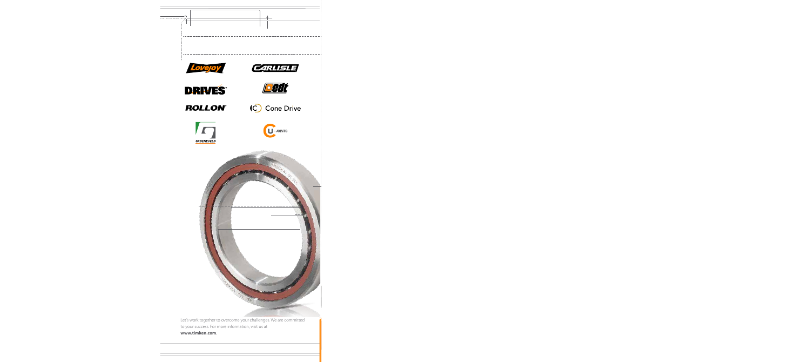

Let's work together to overcome your challenges. We are committed to your success. For more information, visit us at **www.timken.com**.